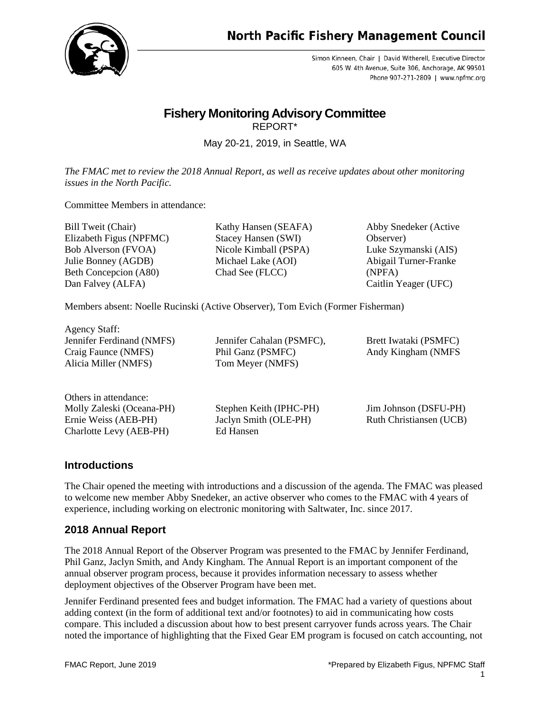

Simon Kinneen, Chair | David Witherell, Executive Director 605 W. 4th Avenue, Suite 306, Anchorage, AK 99501 Phone 907-271-2809 | www.npfmc.org

## **Fishery Monitoring Advisory Committee** REPORT\*

May 20-21, 2019, in Seattle, WA

*The FMAC met to review the 2018 Annual Report, as well as receive updates about other monitoring issues in the North Pacific.*

Committee Members in attendance:

Bill Tweit (Chair) Elizabeth Figus (NPFMC) Bob Alverson (FVOA) Julie Bonney (AGDB) Beth Concepcion (A80) Dan Falvey (ALFA)

Kathy Hansen (SEAFA) Stacey Hansen (SWI) Nicole Kimball (PSPA) Michael Lake (AOI) Chad See (FLCC)

Abby Snedeker (Active Observer) Luke Szymanski (AIS) Abigail Turner-Franke (NPFA) Caitlin Yeager (UFC)

Members absent: Noelle Rucinski (Active Observer), Tom Evich (Former Fisherman)

Agency Staff: Jennifer Ferdinand (NMFS) Craig Faunce (NMFS) Alicia Miller (NMFS)

Jennifer Cahalan (PSMFC), Phil Ganz (PSMFC) Tom Meyer (NMFS)

Brett Iwataki (PSMFC) Andy Kingham (NMFS

Others in attendance: Molly Zaleski (Oceana-PH) Ernie Weiss (AEB-PH) Charlotte Levy (AEB-PH)

Stephen Keith (IPHC-PH) Jaclyn Smith (OLE-PH) Ed Hansen

Jim Johnson (DSFU-PH) Ruth Christiansen (UCB)

## **Introductions**

The Chair opened the meeting with introductions and a discussion of the agenda. The FMAC was pleased to welcome new member Abby Snedeker, an active observer who comes to the FMAC with 4 years of experience, including working on electronic monitoring with Saltwater, Inc. since 2017.

## **2018 Annual Report**

The 2018 Annual Report of the Observer Program was presented to the FMAC by Jennifer Ferdinand, Phil Ganz, Jaclyn Smith, and Andy Kingham. The Annual Report is an important component of the annual observer program process, because it provides information necessary to assess whether deployment objectives of the Observer Program have been met.

Jennifer Ferdinand presented fees and budget information. The FMAC had a variety of questions about adding context (in the form of additional text and/or footnotes) to aid in communicating how costs compare. This included a discussion about how to best present carryover funds across years. The Chair noted the importance of highlighting that the Fixed Gear EM program is focused on catch accounting, not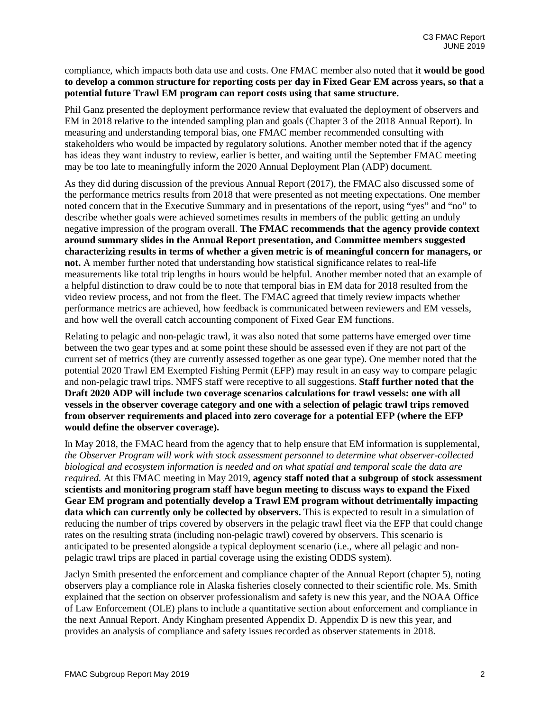compliance, which impacts both data use and costs. One FMAC member also noted that **it would be good to develop a common structure for reporting costs per day in Fixed Gear EM across years, so that a potential future Trawl EM program can report costs using that same structure.**

Phil Ganz presented the deployment performance review that evaluated the deployment of observers and EM in 2018 relative to the intended sampling plan and goals (Chapter 3 of the 2018 Annual Report). In measuring and understanding temporal bias, one FMAC member recommended consulting with stakeholders who would be impacted by regulatory solutions. Another member noted that if the agency has ideas they want industry to review, earlier is better, and waiting until the September FMAC meeting may be too late to meaningfully inform the 2020 Annual Deployment Plan (ADP) document.

As they did during discussion of the previous Annual Report (2017), the FMAC also discussed some of the performance metrics results from 2018 that were presented as not meeting expectations. One member noted concern that in the Executive Summary and in presentations of the report, using "yes" and "no" to describe whether goals were achieved sometimes results in members of the public getting an unduly negative impression of the program overall. **The FMAC recommends that the agency provide context around summary slides in the Annual Report presentation, and Committee members suggested characterizing results in terms of whether a given metric is of meaningful concern for managers, or not.** A member further noted that understanding how statistical significance relates to real-life measurements like total trip lengths in hours would be helpful. Another member noted that an example of a helpful distinction to draw could be to note that temporal bias in EM data for 2018 resulted from the video review process, and not from the fleet. The FMAC agreed that timely review impacts whether performance metrics are achieved, how feedback is communicated between reviewers and EM vessels, and how well the overall catch accounting component of Fixed Gear EM functions.

Relating to pelagic and non-pelagic trawl, it was also noted that some patterns have emerged over time between the two gear types and at some point these should be assessed even if they are not part of the current set of metrics (they are currently assessed together as one gear type). One member noted that the potential 2020 Trawl EM Exempted Fishing Permit (EFP) may result in an easy way to compare pelagic and non-pelagic trawl trips. NMFS staff were receptive to all suggestions. **Staff further noted that the Draft 2020 ADP will include two coverage scenarios calculations for trawl vessels: one with all vessels in the observer coverage category and one with a selection of pelagic trawl trips removed from observer requirements and placed into zero coverage for a potential EFP (where the EFP would define the observer coverage).**

In May 2018, the FMAC heard from the agency that to help ensure that EM information is supplemental, *the Observer Program will work with stock assessment personnel to determine what observer-collected biological and ecosystem information is needed and on what spatial and temporal scale the data are required.* At this FMAC meeting in May 2019, **agency staff noted that a subgroup of stock assessment scientists and monitoring program staff have begun meeting to discuss ways to expand the Fixed Gear EM program and potentially develop a Trawl EM program without detrimentally impacting data which can currently only be collected by observers.** This is expected to result in a simulation of reducing the number of trips covered by observers in the pelagic trawl fleet via the EFP that could change rates on the resulting strata (including non-pelagic trawl) covered by observers. This scenario is anticipated to be presented alongside a typical deployment scenario (i.e., where all pelagic and nonpelagic trawl trips are placed in partial coverage using the existing ODDS system).

Jaclyn Smith presented the enforcement and compliance chapter of the Annual Report (chapter 5), noting observers play a compliance role in Alaska fisheries closely connected to their scientific role. Ms. Smith explained that the section on observer professionalism and safety is new this year, and the NOAA Office of Law Enforcement (OLE) plans to include a quantitative section about enforcement and compliance in the next Annual Report. Andy Kingham presented Appendix D. Appendix D is new this year, and provides an analysis of compliance and safety issues recorded as observer statements in 2018.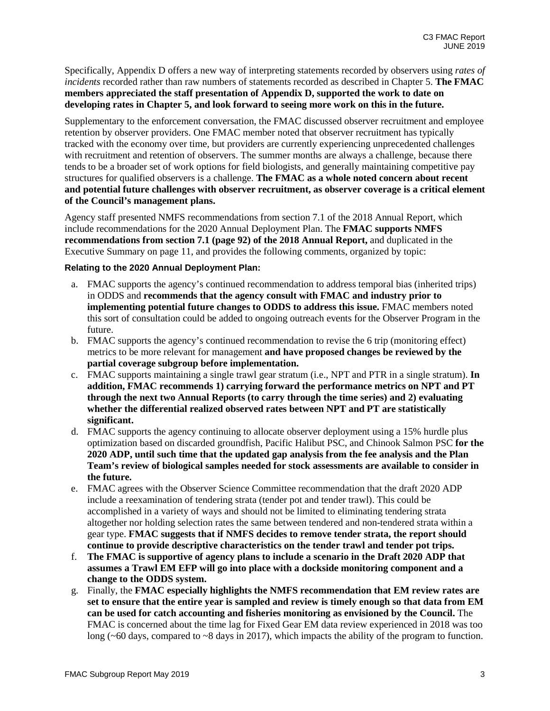Specifically, Appendix D offers a new way of interpreting statements recorded by observers using *rates of incidents* recorded rather than raw numbers of statements recorded as described in Chapter 5. **The FMAC members appreciated the staff presentation of Appendix D, supported the work to date on developing rates in Chapter 5, and look forward to seeing more work on this in the future.**

Supplementary to the enforcement conversation, the FMAC discussed observer recruitment and employee retention by observer providers. One FMAC member noted that observer recruitment has typically tracked with the economy over time, but providers are currently experiencing unprecedented challenges with recruitment and retention of observers. The summer months are always a challenge, because there tends to be a broader set of work options for field biologists, and generally maintaining competitive pay structures for qualified observers is a challenge. **The FMAC as a whole noted concern about recent and potential future challenges with observer recruitment, as observer coverage is a critical element of the Council's management plans.**

Agency staff presented NMFS recommendations from section 7.1 of the 2018 Annual Report, which include recommendations for the 2020 Annual Deployment Plan. The **FMAC supports NMFS recommendations from section 7.1 (page 92) of the 2018 Annual Report,** and duplicated in the Executive Summary on page 11, and provides the following comments, organized by topic:

#### **Relating to the 2020 Annual Deployment Plan:**

- a. FMAC supports the agency's continued recommendation to address temporal bias (inherited trips) in ODDS and **recommends that the agency consult with FMAC and industry prior to implementing potential future changes to ODDS to address this issue.** FMAC members noted this sort of consultation could be added to ongoing outreach events for the Observer Program in the future.
- b. FMAC supports the agency's continued recommendation to revise the 6 trip (monitoring effect) metrics to be more relevant for management **and have proposed changes be reviewed by the partial coverage subgroup before implementation.**
- c. FMAC supports maintaining a single trawl gear stratum (i.e., NPT and PTR in a single stratum). **In addition, FMAC recommends 1) carrying forward the performance metrics on NPT and PT through the next two Annual Reports (to carry through the time series) and 2) evaluating whether the differential realized observed rates between NPT and PT are statistically significant.**
- d. FMAC supports the agency continuing to allocate observer deployment using a 15% hurdle plus optimization based on discarded groundfish, Pacific Halibut PSC, and Chinook Salmon PSC **for the 2020 ADP, until such time that the updated gap analysis from the fee analysis and the Plan Team's review of biological samples needed for stock assessments are available to consider in the future.**
- e. FMAC agrees with the Observer Science Committee recommendation that the draft 2020 ADP include a reexamination of tendering strata (tender pot and tender trawl). This could be accomplished in a variety of ways and should not be limited to eliminating tendering strata altogether nor holding selection rates the same between tendered and non-tendered strata within a gear type. **FMAC suggests that if NMFS decides to remove tender strata, the report should continue to provide descriptive characteristics on the tender trawl and tender pot trips.**
- f. **The FMAC is supportive of agency plans to include a scenario in the Draft 2020 ADP that assumes a Trawl EM EFP will go into place with a dockside monitoring component and a change to the ODDS system.**
- g. Finally, the **FMAC especially highlights the NMFS recommendation that EM review rates are set to ensure that the entire year is sampled and review is timely enough so that data from EM can be used for catch accounting and fisheries monitoring as envisioned by the Council.** The FMAC is concerned about the time lag for Fixed Gear EM data review experienced in 2018 was too long (~60 days, compared to ~8 days in 2017), which impacts the ability of the program to function.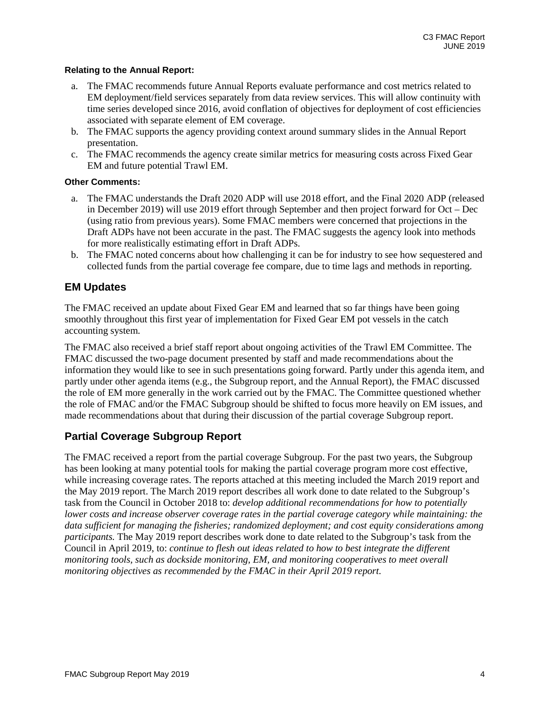#### **Relating to the Annual Report:**

- a. The FMAC recommends future Annual Reports evaluate performance and cost metrics related to EM deployment/field services separately from data review services. This will allow continuity with time series developed since 2016, avoid conflation of objectives for deployment of cost efficiencies associated with separate element of EM coverage.
- b. The FMAC supports the agency providing context around summary slides in the Annual Report presentation.
- c. The FMAC recommends the agency create similar metrics for measuring costs across Fixed Gear EM and future potential Trawl EM.

#### **Other Comments:**

- a. The FMAC understands the Draft 2020 ADP will use 2018 effort, and the Final 2020 ADP (released in December 2019) will use 2019 effort through September and then project forward for Oct – Dec (using ratio from previous years). Some FMAC members were concerned that projections in the Draft ADPs have not been accurate in the past. The FMAC suggests the agency look into methods for more realistically estimating effort in Draft ADPs.
- b. The FMAC noted concerns about how challenging it can be for industry to see how sequestered and collected funds from the partial coverage fee compare, due to time lags and methods in reporting.

#### **EM Updates**

The FMAC received an update about Fixed Gear EM and learned that so far things have been going smoothly throughout this first year of implementation for Fixed Gear EM pot vessels in the catch accounting system.

The FMAC also received a brief staff report about ongoing activities of the Trawl EM Committee. The FMAC discussed the two-page document presented by staff and made recommendations about the information they would like to see in such presentations going forward. Partly under this agenda item, and partly under other agenda items (e.g., the Subgroup report, and the Annual Report), the FMAC discussed the role of EM more generally in the work carried out by the FMAC. The Committee questioned whether the role of FMAC and/or the FMAC Subgroup should be shifted to focus more heavily on EM issues, and made recommendations about that during their discussion of the partial coverage Subgroup report.

#### **Partial Coverage Subgroup Report**

The FMAC received a report from the partial coverage Subgroup. For the past two years, the Subgroup has been looking at many potential tools for making the partial coverage program more cost effective, while increasing coverage rates. The reports attached at this meeting included the March 2019 report and the May 2019 report. The March 2019 report describes all work done to date related to the Subgroup's task from the Council in October 2018 to: *develop additional recommendations for how to potentially lower costs and increase observer coverage rates in the partial coverage category while maintaining: the data sufficient for managing the fisheries; randomized deployment; and cost equity considerations among participants.* The May 2019 report describes work done to date related to the Subgroup's task from the Council in April 2019, to: *continue to flesh out ideas related to how to best integrate the different monitoring tools, such as dockside monitoring, EM, and monitoring cooperatives to meet overall monitoring objectives as recommended by the FMAC in their April 2019 report.*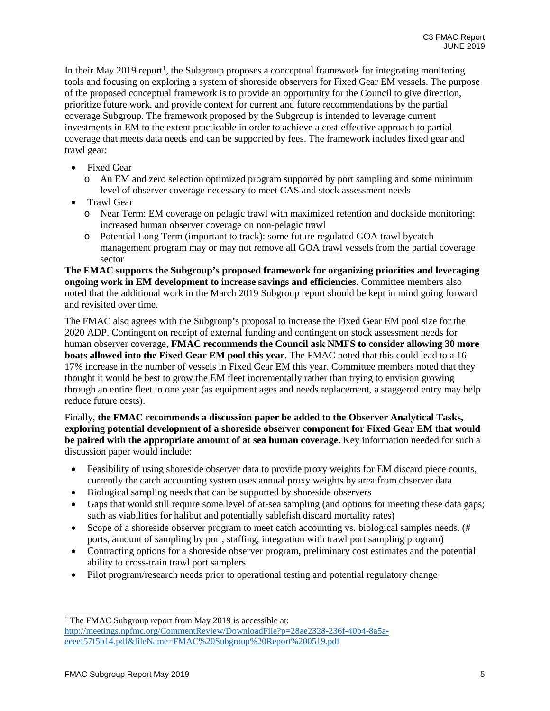In their May 20[1](#page-4-0)9 report<sup>1</sup>, the Subgroup proposes a conceptual framework for integrating monitoring tools and focusing on exploring a system of shoreside observers for Fixed Gear EM vessels. The purpose of the proposed conceptual framework is to provide an opportunity for the Council to give direction, prioritize future work, and provide context for current and future recommendations by the partial coverage Subgroup. The framework proposed by the Subgroup is intended to leverage current investments in EM to the extent practicable in order to achieve a cost-effective approach to partial coverage that meets data needs and can be supported by fees. The framework includes fixed gear and trawl gear:

- Fixed Gear
	- o An EM and zero selection optimized program supported by port sampling and some minimum level of observer coverage necessary to meet CAS and stock assessment needs
- Trawl Gear
	- o Near Term: EM coverage on pelagic trawl with maximized retention and dockside monitoring; increased human observer coverage on non-pelagic trawl
	- o Potential Long Term (important to track): some future regulated GOA trawl bycatch management program may or may not remove all GOA trawl vessels from the partial coverage sector

**The FMAC supports the Subgroup's proposed framework for organizing priorities and leveraging ongoing work in EM development to increase savings and efficiencies**. Committee members also noted that the additional work in the March 2019 Subgroup report should be kept in mind going forward and revisited over time.

The FMAC also agrees with the Subgroup's proposal to increase the Fixed Gear EM pool size for the 2020 ADP. Contingent on receipt of external funding and contingent on stock assessment needs for human observer coverage, **FMAC recommends the Council ask NMFS to consider allowing 30 more boats allowed into the Fixed Gear EM pool this year**. The FMAC noted that this could lead to a 16- 17% increase in the number of vessels in Fixed Gear EM this year. Committee members noted that they thought it would be best to grow the EM fleet incrementally rather than trying to envision growing through an entire fleet in one year (as equipment ages and needs replacement, a staggered entry may help reduce future costs).

Finally, **the FMAC recommends a discussion paper be added to the Observer Analytical Tasks, exploring potential development of a shoreside observer component for Fixed Gear EM that would be paired with the appropriate amount of at sea human coverage.** Key information needed for such a discussion paper would include:

- Feasibility of using shoreside observer data to provide proxy weights for EM discard piece counts, currently the catch accounting system uses annual proxy weights by area from observer data
- Biological sampling needs that can be supported by shoreside observers
- Gaps that would still require some level of at-sea sampling (and options for meeting these data gaps; such as viabilities for halibut and potentially sablefish discard mortality rates)
- Scope of a shoreside observer program to meet catch accounting vs. biological samples needs. (# ports, amount of sampling by port, staffing, integration with trawl port sampling program)
- Contracting options for a shoreside observer program, preliminary cost estimates and the potential ability to cross-train trawl port samplers
- Pilot program/research needs prior to operational testing and potential regulatory change

<span id="page-4-0"></span><sup>&</sup>lt;sup>1</sup> The FMAC Subgroup report from May 2019 is accessible at: [http://meetings.npfmc.org/CommentReview/DownloadFile?p=28ae2328-236f-40b4-8a5a](http://meetings.npfmc.org/CommentReview/DownloadFile?p=28ae2328-236f-40b4-8a5a-eeeef57f5b14.pdf&fileName=FMAC%20Subgroup%20Report%200519.pdf)[eeeef57f5b14.pdf&fileName=FMAC%20Subgroup%20Report%200519.pdf](http://meetings.npfmc.org/CommentReview/DownloadFile?p=28ae2328-236f-40b4-8a5a-eeeef57f5b14.pdf&fileName=FMAC%20Subgroup%20Report%200519.pdf)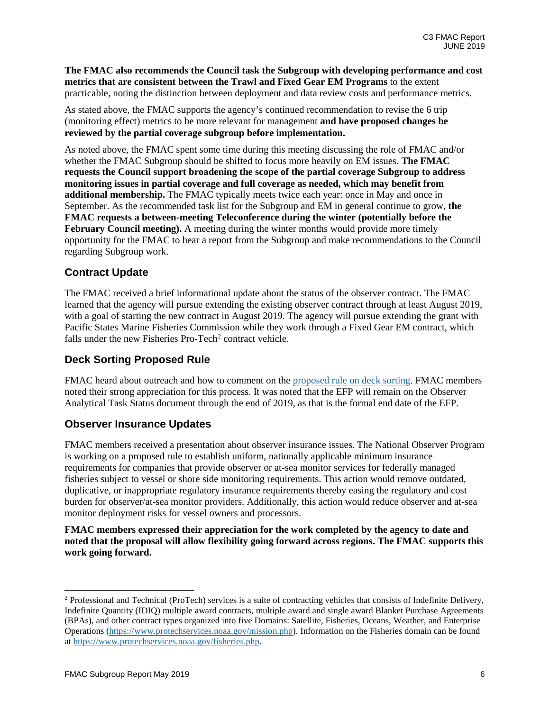**The FMAC also recommends the Council task the Subgroup with developing performance and cost metrics that are consistent between the Trawl and Fixed Gear EM Programs** to the extent practicable, noting the distinction between deployment and data review costs and performance metrics.

As stated above, the FMAC supports the agency's continued recommendation to revise the 6 trip (monitoring effect) metrics to be more relevant for management **and have proposed changes be reviewed by the partial coverage subgroup before implementation.**

As noted above, the FMAC spent some time during this meeting discussing the role of FMAC and/or whether the FMAC Subgroup should be shifted to focus more heavily on EM issues. **The FMAC requests the Council support broadening the scope of the partial coverage Subgroup to address monitoring issues in partial coverage and full coverage as needed, which may benefit from additional membership.** The FMAC typically meets twice each year: once in May and once in September. As the recommended task list for the Subgroup and EM in general continue to grow, **the FMAC requests a between-meeting Teleconference during the winter (potentially before the February Council meeting).** A meeting during the winter months would provide more timely opportunity for the FMAC to hear a report from the Subgroup and make recommendations to the Council regarding Subgroup work.

## **Contract Update**

The FMAC received a brief informational update about the status of the observer contract. The FMAC learned that the agency will pursue extending the existing observer contract through at least August 2019, with a goal of starting the new contract in August 2019. The agency will pursue extending the grant with Pacific States Marine Fisheries Commission while they work through a Fixed Gear EM contract, which falls under the new Fisheries Pro-Tech<sup>[2](#page-5-0)</sup> contract vehicle.

## **Deck Sorting Proposed Rule**

FMAC heard about outreach and how to comment on the proposed rule [on deck sorting.](https://www.regulations.gov/document?D=NOAA-NMFS-2018-0122-0001) FMAC members noted their strong appreciation for this process. It was noted that the EFP will remain on the Observer Analytical Task Status document through the end of 2019, as that is the formal end date of the EFP.

## **Observer Insurance Updates**

FMAC members received a presentation about observer insurance issues. The National Observer Program is working on a proposed rule to establish uniform, nationally applicable minimum insurance requirements for companies that provide observer or at-sea monitor services for federally managed fisheries subject to vessel or shore side monitoring requirements. This action would remove outdated, duplicative, or inappropriate regulatory insurance requirements thereby easing the regulatory and cost burden for observer/at-sea monitor providers. Additionally, this action would reduce observer and at-sea monitor deployment risks for vessel owners and processors.

**FMAC members expressed their appreciation for the work completed by the agency to date and noted that the proposal will allow flexibility going forward across regions. The FMAC supports this work going forward.**

<span id="page-5-0"></span> <sup>2</sup> Professional and Technical (ProTech) services is a suite of contracting vehicles that consists of Indefinite Delivery, Indefinite Quantity (IDIQ) multiple award contracts, multiple award and single award Blanket Purchase Agreements (BPAs), and other contract types organized into five Domains: Satellite, Fisheries, Oceans, Weather, and Enterprise Operations [\(https://www.protechservices.noaa.gov/mission.php\)](https://www.protechservices.noaa.gov/mission.php). Information on the Fisheries domain can be found a[t https://www.protechservices.noaa.gov/fisheries.php.](https://www.protechservices.noaa.gov/fisheries.php)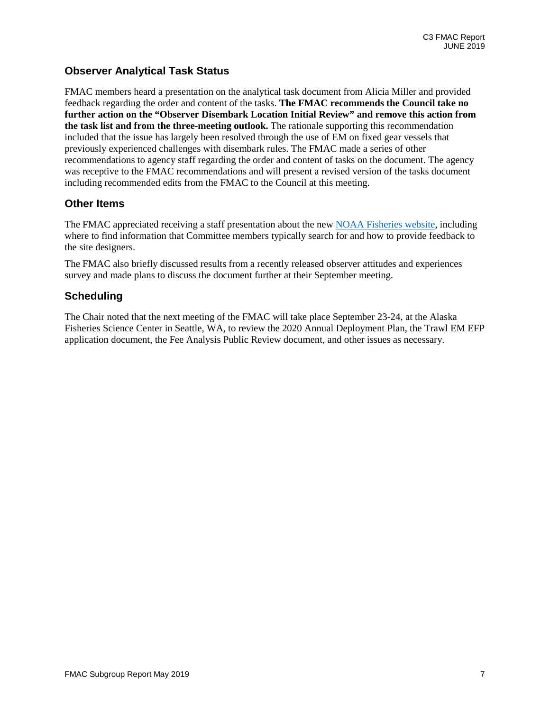## **Observer Analytical Task Status**

FMAC members heard a presentation on the analytical task document from Alicia Miller and provided feedback regarding the order and content of the tasks. **The FMAC recommends the Council take no further action on the "Observer Disembark Location Initial Review" and remove this action from the task list and from the three-meeting outlook.** The rationale supporting this recommendation included that the issue has largely been resolved through the use of EM on fixed gear vessels that previously experienced challenges with disembark rules. The FMAC made a series of other recommendations to agency staff regarding the order and content of tasks on the document. The agency was receptive to the FMAC recommendations and will present a revised version of the tasks document including recommended edits from the FMAC to the Council at this meeting.

## **Other Items**

The FMAC appreciated receiving a staff presentation about the new [NOAA Fisheries website,](https://www.fisheries.noaa.gov/region/alaska) including where to find information that Committee members typically search for and how to provide feedback to the site designers.

The FMAC also briefly discussed results from a recently released observer attitudes and experiences survey and made plans to discuss the document further at their September meeting.

## **Scheduling**

The Chair noted that the next meeting of the FMAC will take place September 23-24, at the Alaska Fisheries Science Center in Seattle, WA, to review the 2020 Annual Deployment Plan, the Trawl EM EFP application document, the Fee Analysis Public Review document, and other issues as necessary.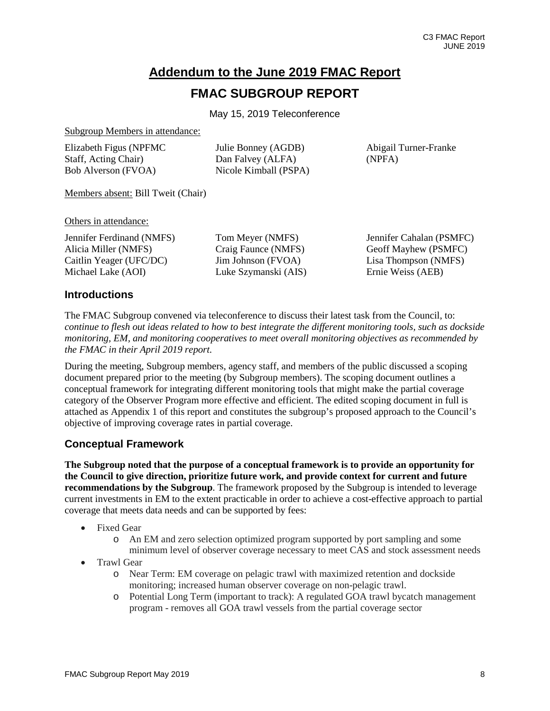## **Addendum to the June 2019 FMAC Report**

# **FMAC SUBGROUP REPORT**

May 15, 2019 Teleconference

Subgroup Members in attendance:

| Elizabeth Figus (NPFMC | Julie Bonney (AGDB)   |
|------------------------|-----------------------|
| Staff, Acting Chair)   | Dan Falvey (ALFA)     |
| Bob Alverson (FVOA)    | Nicole Kimball (PSPA) |
|                        |                       |

Abigail Turner-Franke (NPFA)

Members absent: Bill Tweit (Chair)

Others in attendance:

Jennifer Ferdinand (NMFS) Alicia Miller (NMFS) Caitlin Yeager (UFC/DC) Michael Lake (AOI)

Tom Meyer (NMFS) Craig Faunce (NMFS) Jim Johnson (FVOA) Luke Szymanski (AIS) Jennifer Cahalan (PSMFC) Geoff Mayhew (PSMFC) Lisa Thompson (NMFS) Ernie Weiss (AEB)

## **Introductions**

The FMAC Subgroup convened via teleconference to discuss their latest task from the Council, to: *continue to flesh out ideas related to how to best integrate the different monitoring tools, such as dockside monitoring, EM, and monitoring cooperatives to meet overall monitoring objectives as recommended by the FMAC in their April 2019 report.*

During the meeting, Subgroup members, agency staff, and members of the public discussed a scoping document prepared prior to the meeting (by Subgroup members). The scoping document outlines a conceptual framework for integrating different monitoring tools that might make the partial coverage category of the Observer Program more effective and efficient. The edited scoping document in full is attached as Appendix 1 of this report and constitutes the subgroup's proposed approach to the Council's objective of improving coverage rates in partial coverage.

## **Conceptual Framework**

**The Subgroup noted that the purpose of a conceptual framework is to provide an opportunity for the Council to give direction, prioritize future work, and provide context for current and future recommendations by the Subgroup**. The framework proposed by the Subgroup is intended to leverage current investments in EM to the extent practicable in order to achieve a cost-effective approach to partial coverage that meets data needs and can be supported by fees:

- Fixed Gear
	- o An EM and zero selection optimized program supported by port sampling and some minimum level of observer coverage necessary to meet CAS and stock assessment needs
- Trawl Gear
	- o Near Term: EM coverage on pelagic trawl with maximized retention and dockside monitoring; increased human observer coverage on non-pelagic trawl.
	- o Potential Long Term (important to track): A regulated GOA trawl bycatch management program - removes all GOA trawl vessels from the partial coverage sector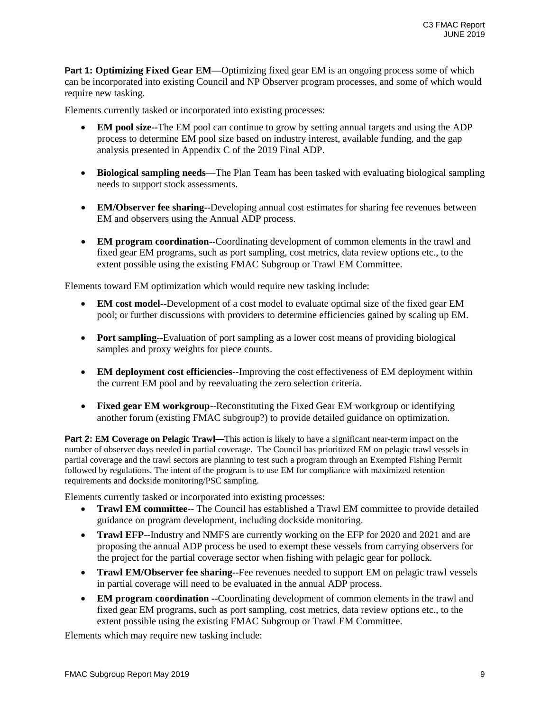**Part 1: Optimizing Fixed Gear EM—Optimizing fixed gear EM is an ongoing process some of which** can be incorporated into existing Council and NP Observer program processes, and some of which would require new tasking.

Elements currently tasked or incorporated into existing processes:

- **EM pool size--**The EM pool can continue to grow by setting annual targets and using the ADP process to determine EM pool size based on industry interest, available funding, and the gap analysis presented in Appendix C of the 2019 Final ADP.
- **Biological sampling needs**—The Plan Team has been tasked with evaluating biological sampling needs to support stock assessments.
- **EM/Observer fee sharing**--Developing annual cost estimates for sharing fee revenues between EM and observers using the Annual ADP process.
- **EM program coordination**--Coordinating development of common elements in the trawl and fixed gear EM programs, such as port sampling, cost metrics, data review options etc., to the extent possible using the existing FMAC Subgroup or Trawl EM Committee.

Elements toward EM optimization which would require new tasking include:

- **EM cost model**--Development of a cost model to evaluate optimal size of the fixed gear EM pool; or further discussions with providers to determine efficiencies gained by scaling up EM.
- **Port sampling**--Evaluation of port sampling as a lower cost means of providing biological samples and proxy weights for piece counts.
- **EM deployment cost efficiencies**--Improving the cost effectiveness of EM deployment within the current EM pool and by reevaluating the zero selection criteria.
- **Fixed gear EM workgroup**--Reconstituting the Fixed Gear EM workgroup or identifying another forum (existing FMAC subgroup?) to provide detailed guidance on optimization.

**Part 2: <b>EM** Coverage on Pelagic Trawl—This action is likely to have a significant near-term impact on the number of observer days needed in partial coverage. The Council has prioritized EM on pelagic trawl vessels in partial coverage and the trawl sectors are planning to test such a program through an Exempted Fishing Permit followed by regulations. The intent of the program is to use EM for compliance with maximized retention requirements and dockside monitoring/PSC sampling.

Elements currently tasked or incorporated into existing processes:

- **Trawl EM committee**—- The Council has established a Trawl EM committee to provide detailed guidance on program development, including dockside monitoring.
- **Trawl EFP**--Industry and NMFS are currently working on the EFP for 2020 and 2021 and are proposing the annual ADP process be used to exempt these vessels from carrying observers for the project for the partial coverage sector when fishing with pelagic gear for pollock.
- **Trawl EM/Observer fee sharing**--Fee revenues needed to support EM on pelagic trawl vessels in partial coverage will need to be evaluated in the annual ADP process.
- **EM program coordination** --Coordinating development of common elements in the trawl and fixed gear EM programs, such as port sampling, cost metrics, data review options etc., to the extent possible using the existing FMAC Subgroup or Trawl EM Committee.

Elements which may require new tasking include: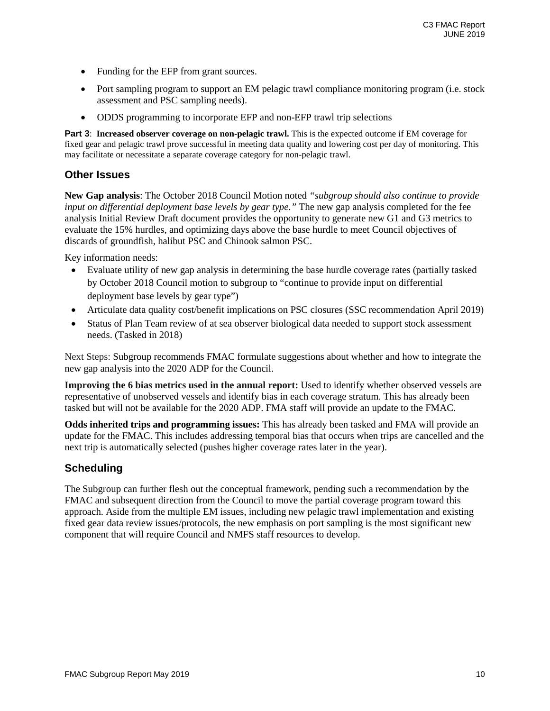- Funding for the EFP from grant sources.
- Port sampling program to support an EM pelagic trawl compliance monitoring program (i.e. stock assessment and PSC sampling needs).
- ODDS programming to incorporate EFP and non-EFP trawl trip selections

**Part 3**: **Increased observer coverage on non-pelagic trawl.** This is the expected outcome if EM coverage for fixed gear and pelagic trawl prove successful in meeting data quality and lowering cost per day of monitoring. This may facilitate or necessitate a separate coverage category for non-pelagic trawl.

### **Other Issues**

**New Gap analysis**: The October 2018 Council Motion noted *"subgroup should also continue to provide input on differential deployment base levels by gear type."* The new gap analysis completed for the fee analysis Initial Review Draft document provides the opportunity to generate new G1 and G3 metrics to evaluate the 15% hurdles, and optimizing days above the base hurdle to meet Council objectives of discards of groundfish, halibut PSC and Chinook salmon PSC.

Key information needs:

- Evaluate utility of new gap analysis in determining the base hurdle coverage rates (partially tasked by October 2018 Council motion to subgroup to "continue to provide input on differential deployment base levels by gear type")
- Articulate data quality cost/benefit implications on PSC closures (SSC recommendation April 2019)
- Status of Plan Team review of at sea observer biological data needed to support stock assessment needs. (Tasked in 2018)

Next Steps: Subgroup recommends FMAC formulate suggestions about whether and how to integrate the new gap analysis into the 2020 ADP for the Council.

**Improving the 6 bias metrics used in the annual report:** Used to identify whether observed vessels are representative of unobserved vessels and identify bias in each coverage stratum. This has already been tasked but will not be available for the 2020 ADP. FMA staff will provide an update to the FMAC.

**Odds inherited trips and programming issues:** This has already been tasked and FMA will provide an update for the FMAC. This includes addressing temporal bias that occurs when trips are cancelled and the next trip is automatically selected (pushes higher coverage rates later in the year).

## **Scheduling**

The Subgroup can further flesh out the conceptual framework, pending such a recommendation by the FMAC and subsequent direction from the Council to move the partial coverage program toward this approach. Aside from the multiple EM issues, including new pelagic trawl implementation and existing fixed gear data review issues/protocols, the new emphasis on port sampling is the most significant new component that will require Council and NMFS staff resources to develop.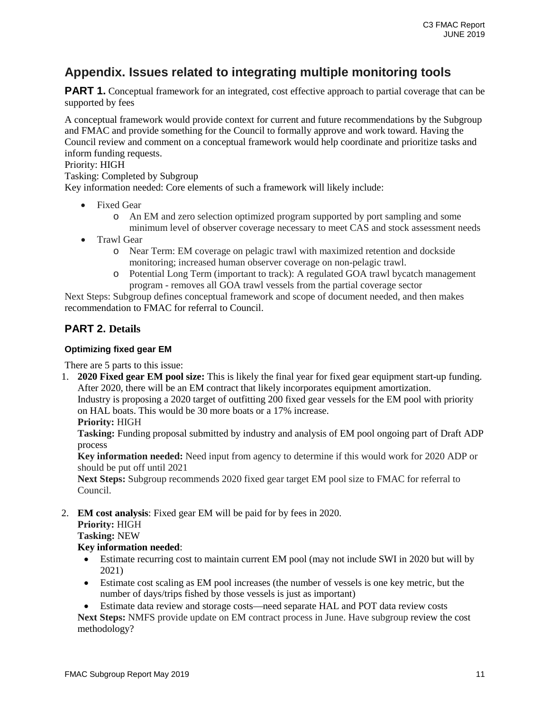## **Appendix. Issues related to integrating multiple monitoring tools**

**PART 1.** Conceptual framework for an integrated, cost effective approach to partial coverage that can be supported by fees

A conceptual framework would provide context for current and future recommendations by the Subgroup and FMAC and provide something for the Council to formally approve and work toward. Having the Council review and comment on a conceptual framework would help coordinate and prioritize tasks and inform funding requests.

#### Priority: HIGH

Tasking: Completed by Subgroup

Key information needed: Core elements of such a framework will likely include:

- Fixed Gear
	- o An EM and zero selection optimized program supported by port sampling and some minimum level of observer coverage necessary to meet CAS and stock assessment needs
- Trawl Gear
	- o Near Term: EM coverage on pelagic trawl with maximized retention and dockside monitoring; increased human observer coverage on non-pelagic trawl.
	- o Potential Long Term (important to track): A regulated GOA trawl bycatch management program - removes all GOA trawl vessels from the partial coverage sector

Next Steps: Subgroup defines conceptual framework and scope of document needed, and then makes recommendation to FMAC for referral to Council.

### **PART 2. Details**

#### **Optimizing fixed gear EM**

There are 5 parts to this issue:

1. **2020 Fixed gear EM pool size:** This is likely the final year for fixed gear equipment start-up funding. After 2020, there will be an EM contract that likely incorporates equipment amortization. Industry is proposing a 2020 target of outfitting 200 fixed gear vessels for the EM pool with priority

on HAL boats. This would be 30 more boats or a 17% increase.

**Priority:** HIGH

**Tasking:** Funding proposal submitted by industry and analysis of EM pool ongoing part of Draft ADP process

**Key information needed:** Need input from agency to determine if this would work for 2020 ADP or should be put off until 2021

**Next Steps:** Subgroup recommends 2020 fixed gear target EM pool size to FMAC for referral to Council.

2. **EM cost analysis**: Fixed gear EM will be paid for by fees in 2020.

**Priority:** HIGH

**Tasking:** NEW

#### **Key information needed**:

- Estimate recurring cost to maintain current EM pool (may not include SWI in 2020 but will by 2021)
- Estimate cost scaling as EM pool increases (the number of vessels is one key metric, but the number of days/trips fished by those vessels is just as important)

• Estimate data review and storage costs—need separate HAL and POT data review costs

**Next Steps:** NMFS provide update on EM contract process in June. Have subgroup review the cost methodology?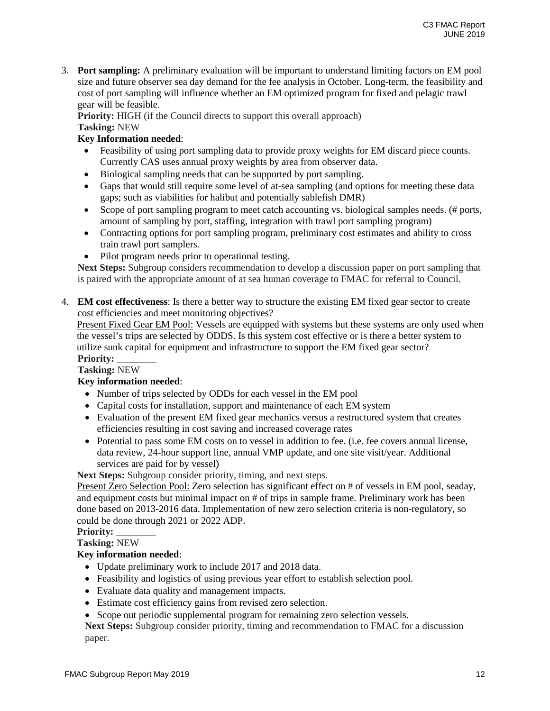3. **Port sampling:** A preliminary evaluation will be important to understand limiting factors on EM pool size and future observer sea day demand for the fee analysis in October. Long-term, the feasibility and cost of port sampling will influence whether an EM optimized program for fixed and pelagic trawl gear will be feasible.

**Priority:** HIGH (if the Council directs to support this overall approach) **Tasking:** NEW

#### **Key Information needed**:

- Feasibility of using port sampling data to provide proxy weights for EM discard piece counts. Currently CAS uses annual proxy weights by area from observer data.
- Biological sampling needs that can be supported by port sampling.
- Gaps that would still require some level of at-sea sampling (and options for meeting these data gaps; such as viabilities for halibut and potentially sablefish DMR)
- Scope of port sampling program to meet catch accounting vs. biological samples needs. (# ports, amount of sampling by port, staffing, integration with trawl port sampling program)
- Contracting options for port sampling program, preliminary cost estimates and ability to cross train trawl port samplers.
- Pilot program needs prior to operational testing.

**Next Steps:** Subgroup considers recommendation to develop a discussion paper on port sampling that is paired with the appropriate amount of at sea human coverage to FMAC for referral to Council.

4. **EM cost effectiveness**: Is there a better way to structure the existing EM fixed gear sector to create cost efficiencies and meet monitoring objectives?

Present Fixed Gear EM Pool: Vessels are equipped with systems but these systems are only used when the vessel's trips are selected by ODDS. Is this system cost effective or is there a better system to utilize sunk capital for equipment and infrastructure to support the EM fixed gear sector? Priority:

#### **Tasking:** NEW

#### **Key information needed**:

- Number of trips selected by ODDs for each vessel in the EM pool
- Capital costs for installation, support and maintenance of each EM system
- Evaluation of the present EM fixed gear mechanics versus a restructured system that creates efficiencies resulting in cost saving and increased coverage rates
- Potential to pass some EM costs on to vessel in addition to fee. (i.e. fee covers annual license, data review, 24-hour support line, annual VMP update, and one site visit/year. Additional services are paid for by vessel)

**Next Steps:** Subgroup consider priority, timing, and next steps.

Present Zero Selection Pool: Zero selection has significant effect on # of vessels in EM pool, seaday, and equipment costs but minimal impact on # of trips in sample frame. Preliminary work has been done based on 2013-2016 data. Implementation of new zero selection criteria is non-regulatory, so could be done through 2021 or 2022 ADP.

#### Priority:

#### **Tasking:** NEW

#### **Key information needed**:

- Update preliminary work to include 2017 and 2018 data.
- Feasibility and logistics of using previous year effort to establish selection pool.
- Evaluate data quality and management impacts.
- Estimate cost efficiency gains from revised zero selection.
- Scope out periodic supplemental program for remaining zero selection vessels.

**Next Steps:** Subgroup consider priority, timing and recommendation to FMAC for a discussion paper.